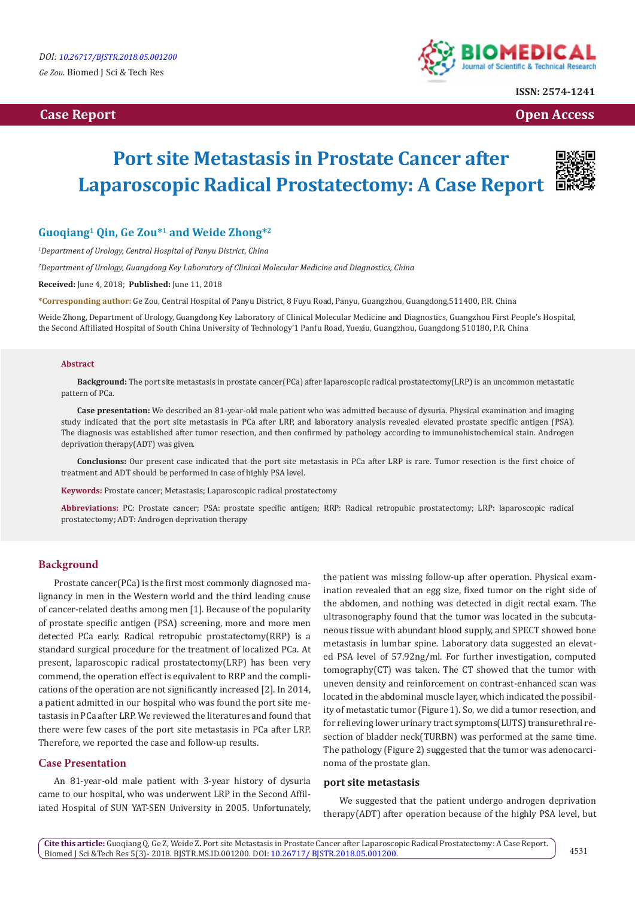

**ISSN: 2574-1241**

**Case Report Case Report Case Access**  $\alpha$  **Case Report** Case **Open Access Open Access** 

# **Port site Metastasis in Prostate Cancer after Laparoscopic Radical Prostatectomy: A Case Report**



## **Guoqiang1 Qin, Ge Zou\*1 and Weide Zhong\*2**

*1 Department of Urology, Central Hospital of Panyu District, China* 

*2 Department of Urology, Guangdong Key Laboratory of Clinical Molecular Medicine and Diagnostics, China* 

**Received:** June 4, 2018; **Published:** June 11, 2018

**\*Corresponding author:** Ge Zou, Central Hospital of Panyu District, 8 Fuyu Road, Panyu, Guangzhou, Guangdong,511400, P.R. China

Weide Zhong, Department of Urology, Guangdong Key Laboratory of Clinical Molecular Medicine and Diagnostics, Guangzhou First People's Hospital, the Second Affiliated Hospital of South China University of Technology'1 Panfu Road, Yuexiu, Guangzhou, Guangdong 510180, P.R. China

#### **Abstract**

**Background:** The port site metastasis in prostate cancer(PCa) after laparoscopic radical prostatectomy(LRP) is an uncommon metastatic pattern of PCa.

**Case presentation:** We described an 81-year-old male patient who was admitted because of dysuria. Physical examination and imaging study indicated that the port site metastasis in PCa after LRP, and laboratory analysis revealed elevated prostate specific antigen (PSA). The diagnosis was established after tumor resection, and then confirmed by pathology according to immunohistochemical stain. Androgen deprivation therapy(ADT) was given.

**Conclusions:** Our present case indicated that the port site metastasis in PCa after LRP is rare. Tumor resection is the first choice of treatment and ADT should be performed in case of highly PSA level.

**Keywords:** Prostate cancer; Metastasis; Laparoscopic radical prostatectomy

**Abbreviations:** PC: Prostate cancer; PSA: prostate specific antigen; RRP: Radical retropubic prostatectomy; LRP: laparoscopic radical prostatectomy; ADT: Androgen deprivation therapy

## **Background**

Prostate cancer(PCa) is the first most commonly diagnosed malignancy in men in the Western world and the third leading cause of cancer-related deaths among men [1]. Because of the popularity of prostate specific antigen (PSA) screening, more and more men detected PCa early. Radical retropubic prostatectomy(RRP) is a standard surgical procedure for the treatment of localized PCa. At present, laparoscopic radical prostatectomy(LRP) has been very commend, the operation effect is equivalent to RRP and the complications of the operation are not significantly increased [2]. In 2014, a patient admitted in our hospital who was found the port site metastasis in PCa after LRP. We reviewed the literatures and found that there were few cases of the port site metastasis in PCa after LRP. Therefore, we reported the case and follow-up results.

## **Case Presentation**

An 81-year-old male patient with 3-year history of dysuria came to our hospital, who was underwent LRP in the Second Affiliated Hospital of SUN YAT-SEN University in 2005. Unfortunately, the patient was missing follow-up after operation. Physical examination revealed that an egg size, fixed tumor on the right side of the abdomen, and nothing was detected in digit rectal exam. The ultrasonography found that the tumor was located in the subcutaneous tissue with abundant blood supply, and SPECT showed bone metastasis in lumbar spine. Laboratory data suggested an elevated PSA level of 57.92ng/ml. For further investigation, computed tomography(CT) was taken. The CT showed that the tumor with uneven density and reinforcement on contrast-enhanced scan was located in the abdominal muscle layer, which indicated the possibility of metastatic tumor (Figure 1). So, we did a tumor resection, and for relieving lower urinary tract symptoms(LUTS) transurethral resection of bladder neck(TURBN) was performed at the same time. The pathology (Figure 2) suggested that the tumor was adenocarcinoma of the prostate glan.

#### **port site metastasis**

We suggested that the patient undergo androgen deprivation therapy(ADT) after operation because of the highly PSA level, but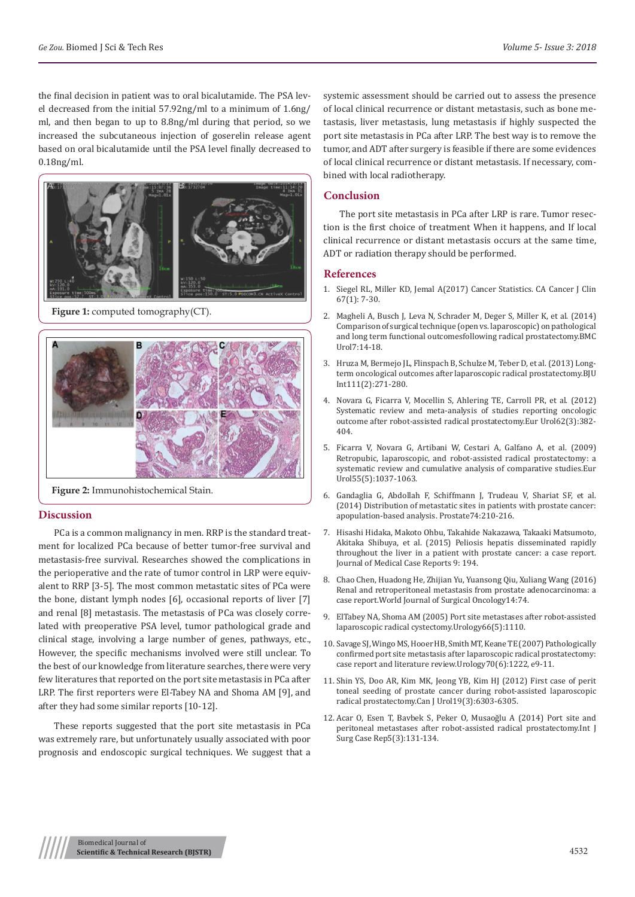the final decision in patient was to oral bicalutamide. The PSA level decreased from the initial 57.92ng/ml to a minimum of 1.6ng/ ml, and then began to up to 8.8ng/ml during that period, so we increased the subcutaneous injection of goserelin release agent based on oral bicalutamide until the PSA level finally decreased to 0.18ng/ml.



**Figure 1:** computed tomography(CT).



**Figure 2:** Immunohistochemical Stain.

## **Discussion**

PCa is a common malignancy in men. RRP is the standard treatment for localized PCa because of better tumor-free survival and metastasis-free survival. Researches showed the complications in the perioperative and the rate of tumor control in LRP were equivalent to RRP [3-5]. The most common metastatic sites of PCa were the bone, distant lymph nodes [6], occasional reports of liver [7] and renal [8] metastasis. The metastasis of PCa was closely correlated with preoperative PSA level, tumor pathological grade and clinical stage, involving a large number of genes, pathways, etc., However, the specific mechanisms involved were still unclear. To the best of our knowledge from literature searches, there were very few literatures that reported on the port site metastasis in PCa after LRP. The first reporters were El-Tabey NA and Shoma AM [9], and after they had some similar reports [10-12].

These reports suggested that the port site metastasis in PCa was extremely rare, but unfortunately usually associated with poor prognosis and endoscopic surgical techniques. We suggest that a systemic assessment should be carried out to assess the presence of local clinical recurrence or distant metastasis, such as bone metastasis, liver metastasis, lung metastasis if highly suspected the port site metastasis in PCa after LRP. The best way is to remove the tumor, and ADT after surgery is feasible if there are some evidences of local clinical recurrence or distant metastasis. If necessary, combined with local radiotherapy.

## **Conclusion**

The port site metastasis in PCa after LRP is rare. Tumor resection is the first choice of treatment When it happens, and If local clinical recurrence or distant metastasis occurs at the same time, ADT or radiation therapy should be performed.

### **References**

- 1. [Siegel RL, Miller KD, Jemal A\(2017\) Cancer Statistics. CA Cancer J Clin](https://www.ncbi.nlm.nih.gov/pubmed/28055103) [67\(1\): 7-30.](https://www.ncbi.nlm.nih.gov/pubmed/28055103)
- 2. [Magheli A, Busch J, Leva N, Schrader M, Deger S, Miller K, et al. \(2014\)](https://bmcurol.biomedcentral.com/articles/10.1186/1471-2490-14-18) [Comparison of surgical technique \(open vs. laparoscopic\) on pathological](https://bmcurol.biomedcentral.com/articles/10.1186/1471-2490-14-18) [and long term functional outcomesfollowing radical prostatectomy.BMC](https://bmcurol.biomedcentral.com/articles/10.1186/1471-2490-14-18) [Urol7:14-18.](https://bmcurol.biomedcentral.com/articles/10.1186/1471-2490-14-18)
- 3. [Hruza M, Bermejo JL, Flinspach B, Schulze M, Teber D, et al. \(2013\) Long](https://www.ncbi.nlm.nih.gov/pubmed/22757970)[term oncological outcomes after laparoscopic radical prostatectomy.BJU](https://www.ncbi.nlm.nih.gov/pubmed/22757970) [Int111\(2\):271-280.](https://www.ncbi.nlm.nih.gov/pubmed/22757970)
- 4. [Novara G, Ficarra V, Mocellin S, Ahlering TE, Carroll PR, et al. \(2012\)](https://www.ncbi.nlm.nih.gov/pubmed/22749851) [Systematic review and meta-analysis of studies reporting oncologic](https://www.ncbi.nlm.nih.gov/pubmed/22749851) [outcome after robot-assisted radical prostatectomy.Eur Urol62\(3\):382-](https://www.ncbi.nlm.nih.gov/pubmed/22749851) [404.](https://www.ncbi.nlm.nih.gov/pubmed/22749851)
- 5. [Ficarra V, Novara G, Artibani W, Cestari A, Galfano A, et al. \(2009\)](https://www.ncbi.nlm.nih.gov/pubmed/19185977) [Retropubic, laparoscopic, and robot-assisted radical prostatectomy: a](https://www.ncbi.nlm.nih.gov/pubmed/19185977) [systematic review and cumulative analysis of comparative studies.Eur](https://www.ncbi.nlm.nih.gov/pubmed/19185977) [Urol55\(5\):1037-1063.](https://www.ncbi.nlm.nih.gov/pubmed/19185977)
- 6. [Gandaglia G, Abdollah F, Schiffmann J, Trudeau V, Shariat SF, et al.](https://www.ncbi.nlm.nih.gov/pubmed/24132735) [\(2014\) Distribution of metastatic sites in patients with prostate cancer:](https://www.ncbi.nlm.nih.gov/pubmed/24132735) [apopulation-based analysis. Prostate74:210-216.](https://www.ncbi.nlm.nih.gov/pubmed/24132735)
- 7. [Hisashi Hidaka, Makoto Ohbu, Takahide Nakazawa, Takaaki Matsumoto,](https://www.ncbi.nlm.nih.gov/pubmed/26362063) [Akitaka Shibuya, et al. \(2015\) Peliosis hepatis disseminated rapidly](https://www.ncbi.nlm.nih.gov/pubmed/26362063) [throughout the liver in a patient with prostate cancer: a case report.](https://www.ncbi.nlm.nih.gov/pubmed/26362063) [Journal of Medical Case Reports 9: 194.](https://www.ncbi.nlm.nih.gov/pubmed/26362063)
- 8. [Chao Chen, Huadong He, Zhijian Yu, Yuansong Qiu, Xuliang Wang \(2016\)](https://www.ncbi.nlm.nih.gov/pmc/articles/PMC4784343/) [Renal and retroperitoneal metastasis from prostate adenocarcinoma: a](https://www.ncbi.nlm.nih.gov/pmc/articles/PMC4784343/) [case report.World Journal of Surgical Oncology14:74.](https://www.ncbi.nlm.nih.gov/pmc/articles/PMC4784343/)
- 9. [ElTabey NA, Shoma AM \(2005\) Port site metastases after robot-assisted](https://www.ncbi.nlm.nih.gov/pubmed/16286145) [laparoscopic radical cystectomy.Urology66\(5\):1110.](https://www.ncbi.nlm.nih.gov/pubmed/16286145)
- 10. [Savage SJ, Wingo MS, Hooer HB, Smith MT, Keane TE \(2007\) Pathologically](https://www.ncbi.nlm.nih.gov/pubmed/18158058) [confirmed port site metastasis after laparoscopic radical prostatectomy:](https://www.ncbi.nlm.nih.gov/pubmed/18158058) [case report and literature review.Urology70\(6\):1222, e9-11.](https://www.ncbi.nlm.nih.gov/pubmed/18158058)
- 11. [Shin YS, Doo AR, Kim MK, Jeong YB, Kim HJ \(2012\) First case of perit](https://www.ncbi.nlm.nih.gov/pubmed/22704320) [toneal seeding of prostate cancer during robot-assisted laparoscopic](https://www.ncbi.nlm.nih.gov/pubmed/22704320) [radical prostatectomy.Can J Urol19\(3\):6303-6305.](https://www.ncbi.nlm.nih.gov/pubmed/22704320)
- 12. [Acar O, Esen T, Bavbek S, Peker O, Musaoğlu A \(2014\) Port site and](https://www.ncbi.nlm.nih.gov/pmc/articles/PMC3955239/) [peritoneal metastases after robot-assisted radical prostatectomy.Int J](https://www.ncbi.nlm.nih.gov/pmc/articles/PMC3955239/) [Surg Case Rep5\(3\):131-134.](https://www.ncbi.nlm.nih.gov/pmc/articles/PMC3955239/)